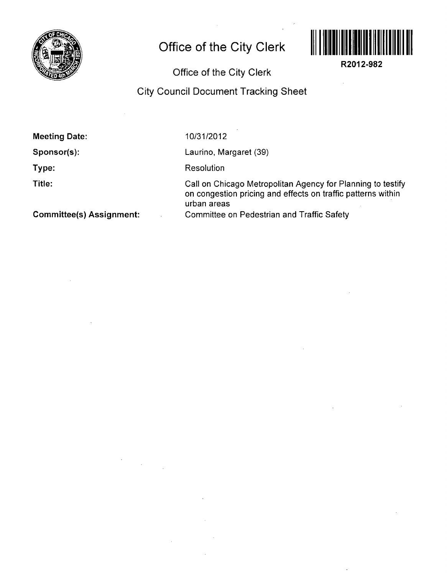

## **Office of the City Clerk**



R2012-982

Office of the City Clerk

## City Council Document Tracking Sheet

Meeting Date:

Sponsor(s):

Type:

Title:

10/31/2012

Laurino, Margaret (39)

**Resolution** 

Call on Chicago Metropolitan Agency for Planning to testify on congestion pricing and effects on traffic patterns within urban areas Committee on Pedestrian and Traffic Safety

Committee(s) Assignment: